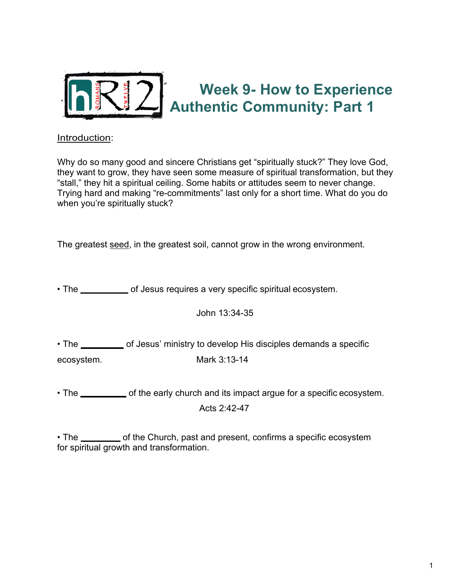

## **Week 9- How to Experience Authentic Community: Part 1**

## Introduction:

Why do so many good and sincere Christians get "spiritually stuck?" They love God, they want to grow, they have seen some measure of spiritual transformation, but they "stall," they hit a spiritual ceiling. Some habits or attitudes seem to never change. Trying hard and making "re-commitments" last only for a short time. What do you do when you're spiritually stuck?

The greatest seed, in the greatest soil, cannot grow in the wrong environment.

• The **COMMAND** of Jesus requires a very specific spiritual ecosystem.

John 13:34-35

• The **EXAMPLE** of Jesus' ministry to develop His disciples demands a specific ecosystem. Mark 3:13-14

• The <u>ellect contriguents of the early church and its impact argue for a specific ecosystem.</u> Acts 2:42-47

• The <u>eignearch of the Church, past and present, confirms a specific ecosystem</u> for spiritual growth and transformation.